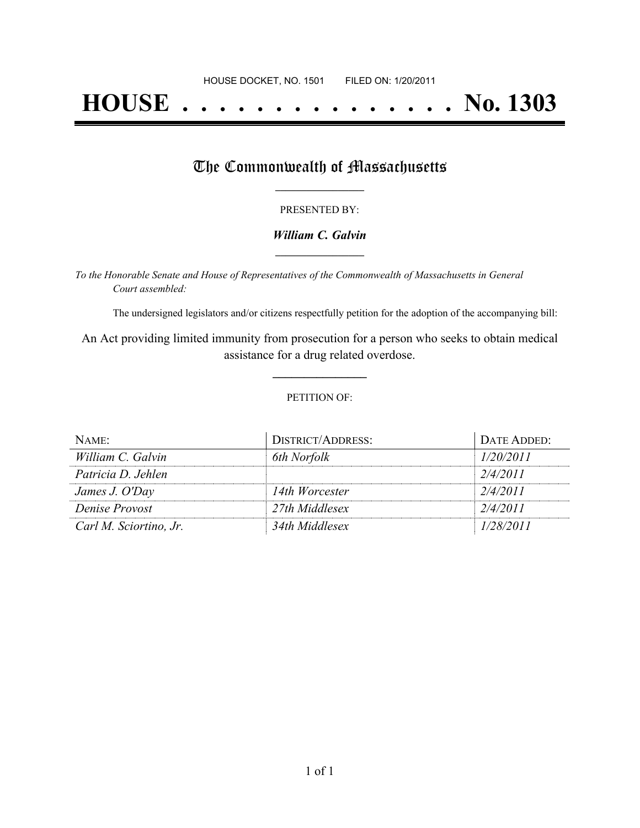# **HOUSE . . . . . . . . . . . . . . . No. 1303**

## The Commonwealth of Massachusetts

#### PRESENTED BY:

#### *William C. Galvin* **\_\_\_\_\_\_\_\_\_\_\_\_\_\_\_\_\_**

*To the Honorable Senate and House of Representatives of the Commonwealth of Massachusetts in General Court assembled:*

The undersigned legislators and/or citizens respectfully petition for the adoption of the accompanying bill:

An Act providing limited immunity from prosecution for a person who seeks to obtain medical assistance for a drug related overdose.

**\_\_\_\_\_\_\_\_\_\_\_\_\_\_\_**

#### PETITION OF:

| NAME:                  | DISTRICT/ADDRESS: | DATE ADDED: |
|------------------------|-------------------|-------------|
| William C. Galvin      | 6th Norfolk       | 1/20/2011   |
| Patricia D. Jehlen     |                   | 2/4/2011    |
| James J. O'Day         | 14th Worcester    | 2/4/2011    |
| Denise Provost         | 27th Middlesex    | 2/4/2011    |
| Carl M. Sciortino, Jr. | 34th Middlesex    | 1/28/2011   |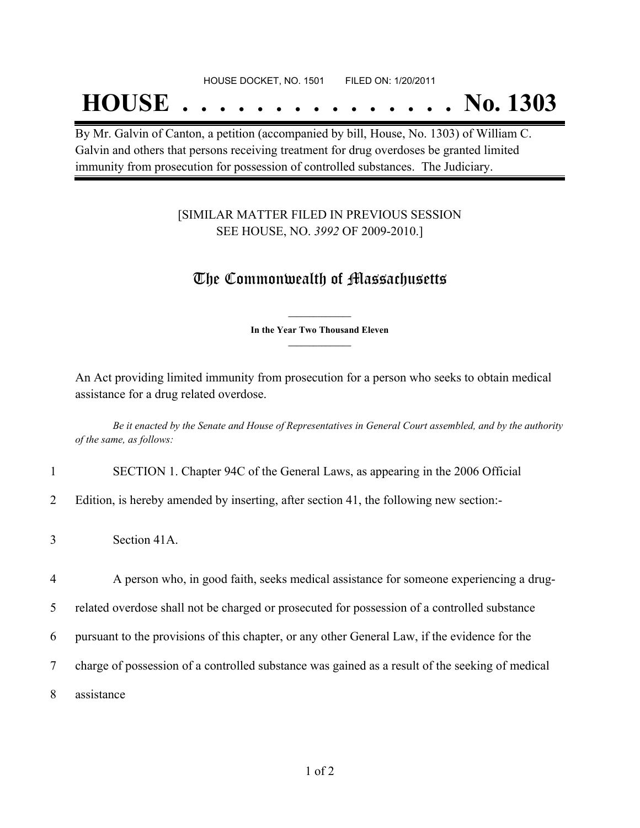## **HOUSE . . . . . . . . . . . . . . . No. 1303**

By Mr. Galvin of Canton, a petition (accompanied by bill, House, No. 1303) of William C. Galvin and others that persons receiving treatment for drug overdoses be granted limited immunity from prosecution for possession of controlled substances. The Judiciary.

#### [SIMILAR MATTER FILED IN PREVIOUS SESSION SEE HOUSE, NO. *3992* OF 2009-2010.]

## The Commonwealth of Massachusetts

**\_\_\_\_\_\_\_\_\_\_\_\_\_\_\_ In the Year Two Thousand Eleven \_\_\_\_\_\_\_\_\_\_\_\_\_\_\_**

An Act providing limited immunity from prosecution for a person who seeks to obtain medical assistance for a drug related overdose.

Be it enacted by the Senate and House of Representatives in General Court assembled, and by the authority *of the same, as follows:*

- 1 SECTION 1. Chapter 94C of the General Laws, as appearing in the 2006 Official
- 2 Edition, is hereby amended by inserting, after section 41, the following new section:-
- 3 Section 41A.

4 A person who, in good faith, seeks medical assistance for someone experiencing a drug-

5 related overdose shall not be charged or prosecuted for possession of a controlled substance

6 pursuant to the provisions of this chapter, or any other General Law, if the evidence for the

- 7 charge of possession of a controlled substance was gained as a result of the seeking of medical
- 8 assistance